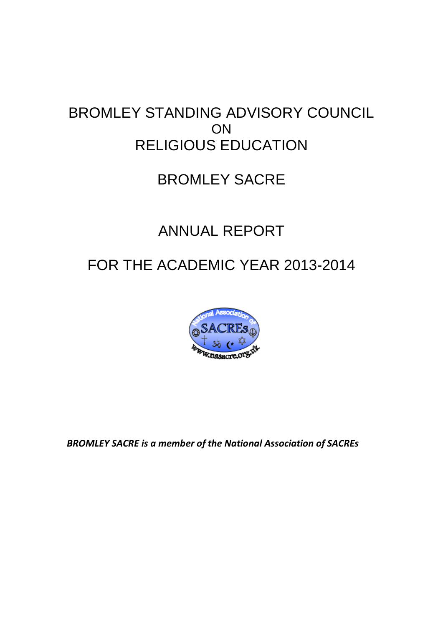# BROMLEY STANDING ADVISORY COUNCIL ON RELIGIOUS EDUCATION

# BROMLEY SACRE

# ANNUAL REPORT

# FOR THE ACADEMIC YEAR 2013-2014



*BROMLEY SACRE is a member of the National Association of SACREs*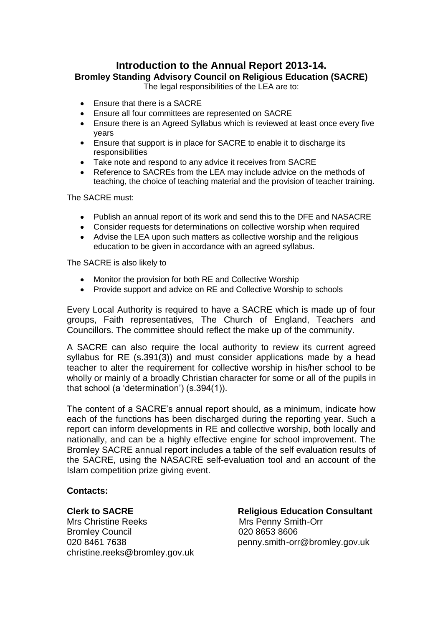# **Introduction to the Annual Report 2013-14.**

**Bromley Standing Advisory Council on Religious Education (SACRE)**

The legal responsibilities of the LEA are to:

- Ensure that there is a SACRE  $\bullet$
- Ensure all four committees are represented on SACRE  $\bullet$
- Ensure there is an Agreed Syllabus which is reviewed at least once every five  $\bullet$ years
- Ensure that support is in place for SACRE to enable it to discharge its responsibilities
- $\bullet$ Take note and respond to any advice it receives from SACRE
- Reference to SACREs from the LEA may include advice on the methods of teaching, the choice of teaching material and the provision of teacher training.

The SACRE must:

- Publish an annual report of its work and send this to the DFE and NASACRE
- Consider requests for determinations on collective worship when required
- Advise the LEA upon such matters as collective worship and the religious education to be given in accordance with an agreed syllabus.

The SACRE is also likely to

- Monitor the provision for both RE and Collective Worship
- Provide support and advice on RE and Collective Worship to schools

Every Local Authority is required to have a SACRE which is made up of four groups, Faith representatives, The Church of England, Teachers and Councillors. The committee should reflect the make up of the community.

A SACRE can also require the local authority to review its current agreed syllabus for RE (s.391(3)) and must consider applications made by a head teacher to alter the requirement for collective worship in his/her school to be wholly or mainly of a broadly Christian character for some or all of the pupils in that school (a 'determination') (s.394(1)).

The content of a SACRE's annual report should, as a minimum, indicate how each of the functions has been discharged during the reporting year. Such a report can inform developments in RE and collective worship, both locally and nationally, and can be a highly effective engine for school improvement. The Bromley SACRE annual report includes a table of the self evaluation results of the SACRE, using the NASACRE self-evaluation tool and an account of the Islam competition prize giving event.

# **Contacts:**

Mrs Christine Reeks Mrs Penny Smith-Orr Bromley Council 020 8653 8606 christine.reeks@bromley.gov.uk

**Clerk to SACRE** Religious Education Consultant 020 8461 7638 **penny.smith-orr@bromley.gov.uk**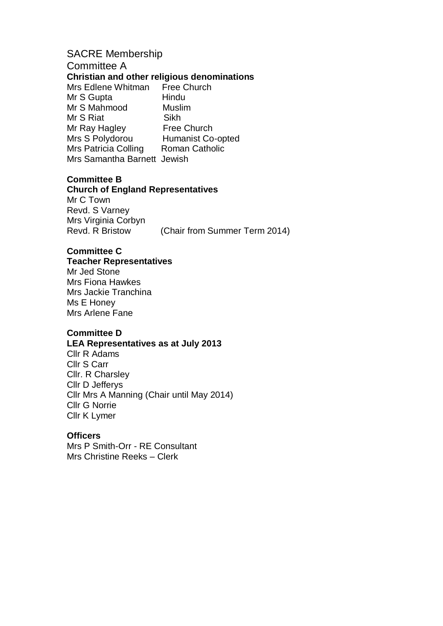# SACRE Membership

Committee A

# **Christian and other religious denominations**

Mrs Edlene Whitman Free Church Mr S Gupta **Hindu** Mr S Mahmood Muslim Mr S Riat Sikh Mr Ray Hagley Free Church Mrs S Polydorou Humanist Co-opted Mrs Patricia Colling Roman Catholic Mrs Samantha Barnett Jewish

# **Committee B**

## **Church of England Representatives**

Mr C Town Revd. S Varney Mrs Virginia Corbyn Revd. R Bristow (Chair from Summer Term 2014)

# **Committee C**

## **Teacher Representatives**

Mr Jed Stone Mrs Fiona Hawkes Mrs Jackie Tranchina Ms E Honey Mrs Arlene Fane

# **Committee D**

#### **LEA Representatives as at July 2013**

Cllr R Adams Cllr S Carr Cllr. R Charsley Cllr D Jefferys Cllr Mrs A Manning (Chair until May 2014) Cllr G Norrie Cllr K Lymer

# **Officers**

Mrs P Smith-Orr - RE Consultant Mrs Christine Reeks – Clerk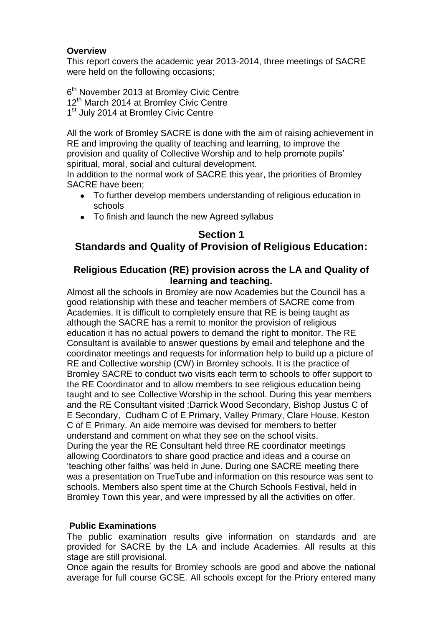# **Overview**

This report covers the academic year 2013-2014, three meetings of SACRE were held on the following occasions;

6<sup>th</sup> November 2013 at Bromley Civic Centre 12<sup>th</sup> March 2014 at Bromley Civic Centre 1<sup>st</sup> July 2014 at Bromley Civic Centre

All the work of Bromley SACRE is done with the aim of raising achievement in RE and improving the quality of teaching and learning, to improve the provision and quality of Collective Worship and to help promote pupils' spiritual, moral, social and cultural development.

In addition to the normal work of SACRE this year, the priorities of Bromley SACRE have been;

- To further develop members understanding of religious education in schools
- To finish and launch the new Agreed syllabus

# **Section 1 Standards and Quality of Provision of Religious Education:**

# **Religious Education (RE) provision across the LA and Quality of learning and teaching.**

Almost all the schools in Bromley are now Academies but the Council has a good relationship with these and teacher members of SACRE come from Academies. It is difficult to completely ensure that RE is being taught as although the SACRE has a remit to monitor the provision of religious education it has no actual powers to demand the right to monitor. The RE Consultant is available to answer questions by email and telephone and the coordinator meetings and requests for information help to build up a picture of RE and Collective worship (CW) in Bromley schools. It is the practice of Bromley SACRE to conduct two visits each term to schools to offer support to the RE Coordinator and to allow members to see religious education being taught and to see Collective Worship in the school. During this year members and the RE Consultant visited ;Darrick Wood Secondary, Bishop Justus C of E Secondary, Cudham C of E Primary, Valley Primary, Clare House, Keston C of E Primary. An aide memoire was devised for members to better understand and comment on what they see on the school visits. During the year the RE Consultant held three RE coordinator meetings allowing Coordinators to share good practice and ideas and a course on 'teaching other faiths' was held in June. During one SACRE meeting there was a presentation on TrueTube and information on this resource was sent to schools. Members also spent time at the Church Schools Festival, held in Bromley Town this year, and were impressed by all the activities on offer.

# **Public Examinations**

The public examination results give information on standards and are provided for SACRE by the LA and include Academies. All results at this stage are still provisional.

Once again the results for Bromley schools are good and above the national average for full course GCSE. All schools except for the Priory entered many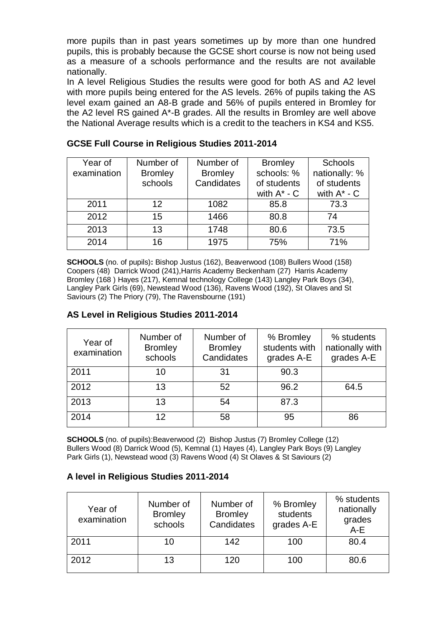more pupils than in past years sometimes up by more than one hundred pupils, this is probably because the GCSE short course is now not being used as a measure of a schools performance and the results are not available nationally.

In A level Religious Studies the results were good for both AS and A2 level with more pupils being entered for the AS levels. 26% of pupils taking the AS level exam gained an A8-B grade and 56% of pupils entered in Bromley for the A2 level RS gained A\*-B grades. All the results in Bromley are well above the National Average results which is a credit to the teachers in KS4 and KS5.

| Year of     | Number of      | Number of      | <b>Bromley</b>   | <b>Schools</b>   |  |
|-------------|----------------|----------------|------------------|------------------|--|
| examination | <b>Bromley</b> | <b>Bromley</b> | schools: %       | nationally: %    |  |
|             | schools        | Candidates     | of students      |                  |  |
|             |                |                | with $A^*$ - $C$ | with $A^*$ - $C$ |  |
| 2011        | 12             | 1082           | 85.8             | 73.3             |  |
| 2012        | 15             | 1466           | 80.8             | 74               |  |
| 2013        | 13             | 1748           | 80.6             | 73.5             |  |
| 2014        | 16             | 1975           | 75%              | 71%              |  |

# **GCSE Full Course in Religious Studies 2011-2014**

**SCHOOLS** (no. of pupils)**:** Bishop Justus (162), Beaverwood (108) Bullers Wood (158) Coopers (48) Darrick Wood (241),Harris Academy Beckenham (27) Harris Academy Bromley (168 ) Hayes (217), Kemnal technology College (143) Langley Park Boys (34), Langley Park Girls (69), Newstead Wood (136), Ravens Wood (192), St Olaves and St Saviours (2) The Priory (79), The Ravensbourne (191)

# **AS Level in Religious Studies 2011-2014**

| Year of<br>examination | Number of<br><b>Bromley</b><br>schools | Number of<br><b>Bromley</b><br>Candidates | % Bromley<br>students with<br>grades A-E | % students<br>nationally with<br>grades A-E |
|------------------------|----------------------------------------|-------------------------------------------|------------------------------------------|---------------------------------------------|
| 2011                   | 10                                     | 31                                        | 90.3                                     |                                             |
| 2012                   | 13                                     | 52                                        | 96.2                                     | 64.5                                        |
| 2013                   | 13                                     | 54                                        | 87.3                                     |                                             |
| 2014                   | 12                                     | 58                                        | 95                                       | 86                                          |

**SCHOOLS** (no. of pupils): Beaverwood (2) Bishop Justus (7) Bromley College (12) Bullers Wood (8) Darrick Wood (5), Kemnal (1) Hayes (4), Langley Park Boys (9) Langley Park Girls (1), Newstead wood (3) Ravens Wood (4) St Olaves & St Saviours (2)

# **A level in Religious Studies 2011-2014**

| Year of<br>examination | Number of<br><b>Bromley</b><br>schools | Number of<br><b>Bromley</b><br>Candidates | % Bromley<br>students<br>grades A-E | % students<br>nationally<br>grades<br>$A-E$ |
|------------------------|----------------------------------------|-------------------------------------------|-------------------------------------|---------------------------------------------|
| 2011                   | 10                                     | 142                                       | 100                                 | 80.4                                        |
| 2012                   | 13                                     | 120                                       | 100                                 | 80.6                                        |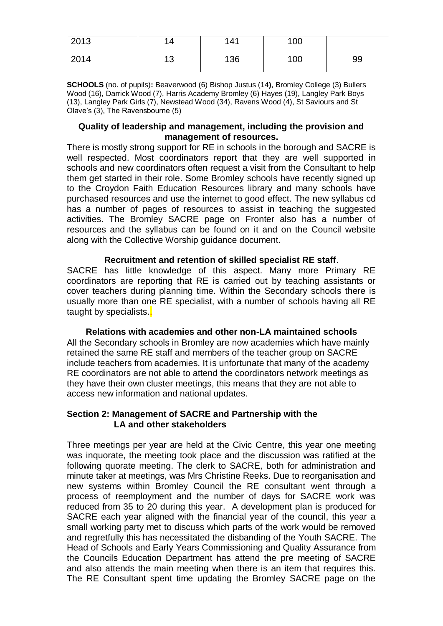| 2013 | 4       | 141 | 100 |    |
|------|---------|-----|-----|----|
| 2014 | 12<br>◡ | 136 | 100 | 99 |

**SCHOOLS** (no. of pupils)**:** Beaverwood (6) Bishop Justus (14**)**, Bromley College (3) Bullers Wood (16), Darrick Wood (7), Harris Academy Bromley (6) Hayes (19), Langley Park Boys (13), Langley Park Girls (7), Newstead Wood (34), Ravens Wood (4), St Saviours and St Olave's (3), The Ravensbourne (5)

#### **Quality of leadership and management, including the provision and management of resources.**

There is mostly strong support for RE in schools in the borough and SACRE is well respected. Most coordinators report that they are well supported in schools and new coordinators often request a visit from the Consultant to help them get started in their role. Some Bromley schools have recently signed up to the Croydon Faith Education Resources library and many schools have purchased resources and use the internet to good effect. The new syllabus cd has a number of pages of resources to assist in teaching the suggested activities. The Bromley SACRE page on Fronter also has a number of resources and the syllabus can be found on it and on the Council website along with the Collective Worship guidance document.

## **Recruitment and retention of skilled specialist RE staff**.

SACRE has little knowledge of this aspect. Many more Primary RE coordinators are reporting that RE is carried out by teaching assistants or cover teachers during planning time. Within the Secondary schools there is usually more than one RE specialist, with a number of schools having all RE taught by specialists.

**Relations with academies and other non-LA maintained schools** All the Secondary schools in Bromley are now academies which have mainly retained the same RE staff and members of the teacher group on SACRE include teachers from academies. It is unfortunate that many of the academy RE coordinators are not able to attend the coordinators network meetings as they have their own cluster meetings, this means that they are not able to access new information and national updates.

# **Section 2: Management of SACRE and Partnership with the LA and other stakeholders**

Three meetings per year are held at the Civic Centre, this year one meeting was inquorate, the meeting took place and the discussion was ratified at the following quorate meeting. The clerk to SACRE, both for administration and minute taker at meetings, was Mrs Christine Reeks. Due to reorganisation and new systems within Bromley Council the RE consultant went through a process of reemployment and the number of days for SACRE work was reduced from 35 to 20 during this year. A development plan is produced for SACRE each year aligned with the financial year of the council, this year a small working party met to discuss which parts of the work would be removed and regretfully this has necessitated the disbanding of the Youth SACRE. The Head of Schools and Early Years Commissioning and Quality Assurance from the Councils Education Department has attend the pre meeting of SACRE and also attends the main meeting when there is an item that requires this. The RE Consultant spent time updating the Bromley SACRE page on the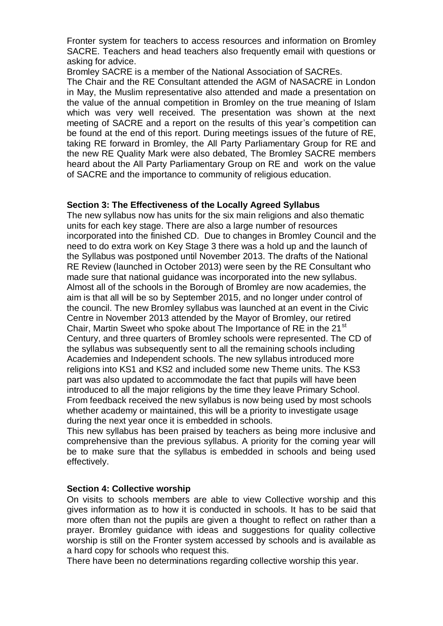Fronter system for teachers to access resources and information on Bromley SACRE. Teachers and head teachers also frequently email with questions or asking for advice.

Bromley SACRE is a member of the National Association of SACREs.

The Chair and the RE Consultant attended the AGM of NASACRE in London in May, the Muslim representative also attended and made a presentation on the value of the annual competition in Bromley on the true meaning of Islam which was very well received. The presentation was shown at the next meeting of SACRE and a report on the results of this year's competition can be found at the end of this report. During meetings issues of the future of RE, taking RE forward in Bromley, the All Party Parliamentary Group for RE and the new RE Quality Mark were also debated, The Bromley SACRE members heard about the All Party Parliamentary Group on RE and work on the value of SACRE and the importance to community of religious education.

## **Section 3: The Effectiveness of the Locally Agreed Syllabus**

The new syllabus now has units for the six main religions and also thematic units for each key stage. There are also a large number of resources incorporated into the finished CD. Due to changes in Bromley Council and the need to do extra work on Key Stage 3 there was a hold up and the launch of the Syllabus was postponed until November 2013. The drafts of the National RE Review (launched in October 2013) were seen by the RE Consultant who made sure that national guidance was incorporated into the new syllabus. Almost all of the schools in the Borough of Bromley are now academies, the aim is that all will be so by September 2015, and no longer under control of the council. The new Bromley syllabus was launched at an event in the Civic Centre in November 2013 attended by the Mayor of Bromley, our retired Chair, Martin Sweet who spoke about The Importance of RE in the 21<sup>st</sup> Century, and three quarters of Bromley schools were represented. The CD of the syllabus was subsequently sent to all the remaining schools including Academies and Independent schools. The new syllabus introduced more religions into KS1 and KS2 and included some new Theme units. The KS3 part was also updated to accommodate the fact that pupils will have been introduced to all the major religions by the time they leave Primary School. From feedback received the new syllabus is now being used by most schools whether academy or maintained, this will be a priority to investigate usage during the next year once it is embedded in schools.

This new syllabus has been praised by teachers as being more inclusive and comprehensive than the previous syllabus. A priority for the coming year will be to make sure that the syllabus is embedded in schools and being used effectively.

#### **Section 4: Collective worship**

On visits to schools members are able to view Collective worship and this gives information as to how it is conducted in schools. It has to be said that more often than not the pupils are given a thought to reflect on rather than a prayer. Bromley guidance with ideas and suggestions for quality collective worship is still on the Fronter system accessed by schools and is available as a hard copy for schools who request this.

There have been no determinations regarding collective worship this year.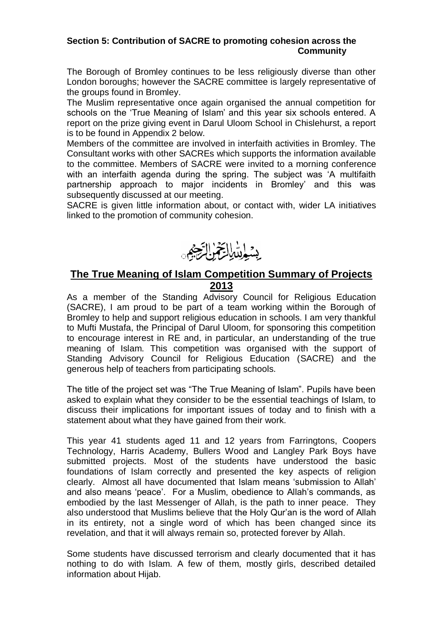## **Section 5: Contribution of SACRE to promoting cohesion across the Community**

The Borough of Bromley continues to be less religiously diverse than other London boroughs; however the SACRE committee is largely representative of the groups found in Bromley.

The Muslim representative once again organised the annual competition for schools on the 'True Meaning of Islam' and this year six schools entered. A report on the prize giving event in Darul Uloom School in Chislehurst, a report is to be found in Appendix 2 below.

Members of the committee are involved in interfaith activities in Bromley. The Consultant works with other SACREs which supports the information available to the committee. Members of SACRE were invited to a morning conference with an interfaith agenda during the spring. The subject was 'A multifaith partnership approach to major incidents in Bromley' and this was subsequently discussed at our meeting.

SACRE is given little information about, or contact with, wider LA initiatives linked to the promotion of community cohesion.



# **The True Meaning of Islam Competition Summary of Projects 2013**

As a member of the Standing Advisory Council for Religious Education (SACRE), I am proud to be part of a team working within the Borough of Bromley to help and support religious education in schools. I am very thankful to Mufti Mustafa, the Principal of Darul Uloom, for sponsoring this competition to encourage interest in RE and, in particular, an understanding of the true meaning of Islam. This competition was organised with the support of Standing Advisory Council for Religious Education (SACRE) and the generous help of teachers from participating schools.

The title of the project set was "The True Meaning of Islam". Pupils have been asked to explain what they consider to be the essential teachings of Islam, to discuss their implications for important issues of today and to finish with a statement about what they have gained from their work.

This year 41 students aged 11 and 12 years from Farringtons, Coopers Technology, Harris Academy, Bullers Wood and Langley Park Boys have submitted projects. Most of the students have understood the basic foundations of Islam correctly and presented the key aspects of religion clearly. Almost all have documented that Islam means 'submission to Allah' and also means 'peace'. For a Muslim, obedience to Allah's commands, as embodied by the last Messenger of Allah, is the path to inner peace. They also understood that Muslims believe that the Holy Qur'an is the word of Allah in its entirety, not a single word of which has been changed since its revelation, and that it will always remain so, protected forever by Allah.

Some students have discussed terrorism and clearly documented that it has nothing to do with Islam. A few of them, mostly girls, described detailed information about Hijab.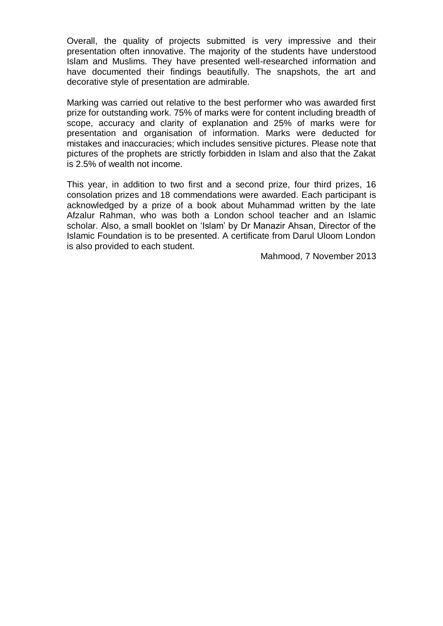Overall, the quality of projects submitted is very impressive and their presentation often innovative. The majority of the students have understood Islam and Muslims. They have presented well-researched information and have documented their findings beautifully. The snapshots, the art and decorative style of presentation are admirable.

Marking was carried out relative to the best performer who was awarded first prize for outstanding work. 75% of marks were for content including breadth of scope, accuracy and clarity of explanation and 25% of marks were for presentation and organisation of information. Marks were deducted for mistakes and inaccuracies; which includes sensitive pictures. Please note that pictures of the prophets are strictly forbidden in Islam and also that the Zakat is 2.5% of wealth not income.

This year, in addition to two first and a second prize, four third prizes, 16 consolation prizes and 18 commendations were awarded. Each participant is acknowledged by a prize of a book about Muhammad written by the late Afzalur Rahman, who was both a London school teacher and an Islamic scholar. Also, a small booklet on 'Islam' by Dr Manazir Ahsan, Director of the Islamic Foundation is to be presented. A certificate from Darul Uloom London is also provided to each student.

Mahmood, 7 November 2013